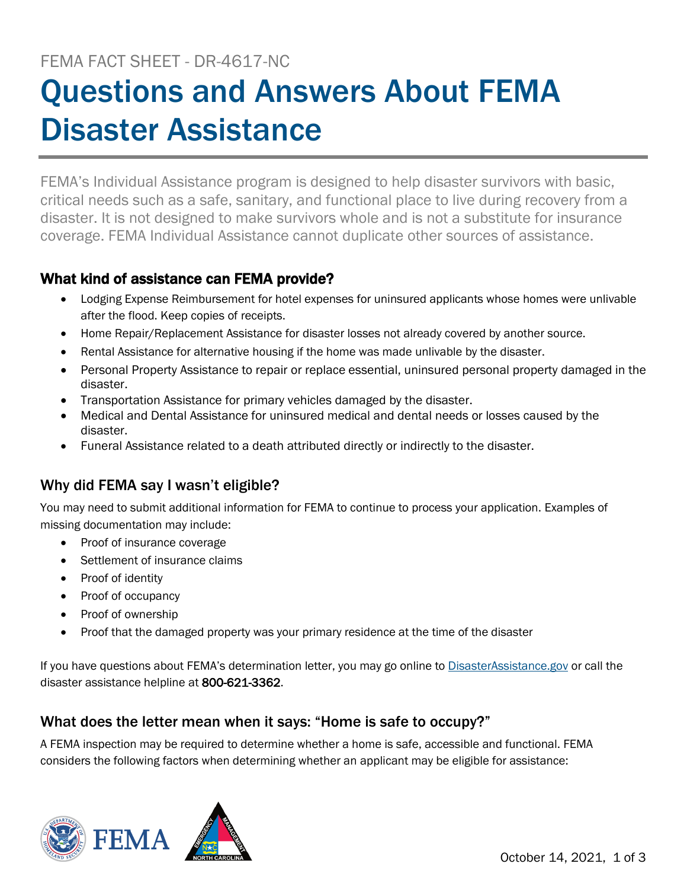# FEMA FACT SHEET - DR-4617-NC Questions and Answers About FEMA Disaster Assistance

FEMA's Individual Assistance program is designed to help disaster survivors with basic, critical needs such as a safe, sanitary, and functional place to live during recovery from a disaster. It is not designed to make survivors whole and is not a substitute for insurance coverage. FEMA Individual Assistance cannot duplicate other sources of assistance.

## What kind of assistance can FEMA provide?

- Lodging Expense Reimbursement for hotel expenses for uninsured applicants whose homes were unlivable after the flood. Keep copies of receipts.
- Home Repair/Replacement Assistance for disaster losses not already covered by another source.
- Rental Assistance for alternative housing if the home was made unlivable by the disaster.
- Personal Property Assistance to repair or replace essential, uninsured personal property damaged in the disaster.
- Transportation Assistance for primary vehicles damaged by the disaster.
- Medical and Dental Assistance for uninsured medical and dental needs or losses caused by the disaster.
- Funeral Assistance related to a death attributed directly or indirectly to the disaster.

# Why did FEMA say I wasn't eligible?

You may need to submit additional information for FEMA to continue to process your application. Examples of missing documentation may include:

- Proof of insurance coverage
- Settlement of insurance claims
- Proof of identity
- Proof of occupancy
- Proof of ownership
- Proof that the damaged property was your primary residence at the time of the disaster

If you have questions about FEMA's determination letter, you may go online to [DisasterAssistance.gov](http://www.disasterassistance.gov/) or call the disaster assistance helpline at 800-621-3362.

#### What does the letter mean when it says: "Home is safe to occupy?"

A FEMA inspection may be required to determine whether a home is safe, accessible and functional. FEMA considers the following factors when determining whether an applicant may be eligible for assistance:

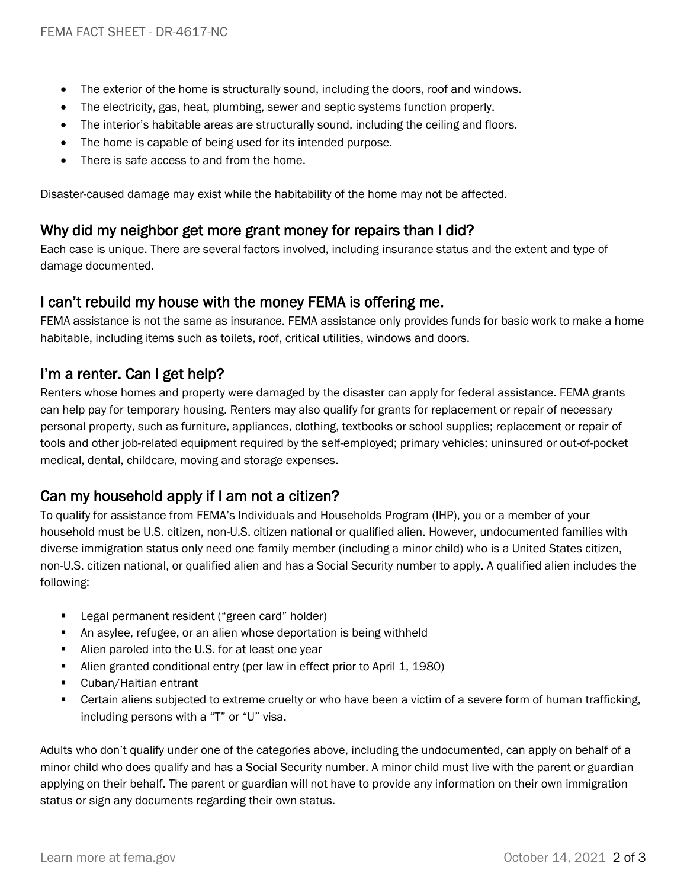- The exterior of the home is structurally sound, including the doors, roof and windows.
- The electricity, gas, heat, plumbing, sewer and septic systems function properly.
- The interior's habitable areas are structurally sound, including the ceiling and floors.
- The home is capable of being used for its intended purpose.
- There is safe access to and from the home.

Disaster-caused damage may exist while the habitability of the home may not be affected.

#### Why did my neighbor get more grant money for repairs than I did?

Each case is unique. There are several factors involved, including insurance status and the extent and type of damage documented.

#### I can't rebuild my house with the money FEMA is offering me.

FEMA assistance is not the same as insurance. FEMA assistance only provides funds for basic work to make a home habitable, including items such as toilets, roof, critical utilities, windows and doors.

## I'm a renter. Can I get help?

Renters whose homes and property were damaged by the disaster can apply for federal assistance. FEMA grants can help pay for temporary housing. Renters may also qualify for grants for replacement or repair of necessary personal property, such as furniture, appliances, clothing, textbooks or school supplies; replacement or repair of tools and other job-related equipment required by the self-employed; primary vehicles; uninsured or out-of-pocket medical, dental, childcare, moving and storage expenses.

## Can my household apply if I am not a citizen?

To qualify for assistance from FEMA's Individuals and Households Program (IHP), you or a member of your household must be U.S. citizen, non-U.S. citizen national or qualified alien. However, undocumented families with diverse immigration status only need one family member (including a minor child) who is a United States citizen, non-U.S. citizen national, or qualified alien and has a Social Security number to apply. A qualified alien includes the following:

- Legal permanent resident ("green card" holder)
- An asylee, refugee, or an alien whose deportation is being withheld
- Alien paroled into the U.S. for at least one year
- Alien granted conditional entry (per law in effect prior to April 1, 1980)
- Cuban/Haitian entrant
- Certain aliens subjected to extreme cruelty or who have been a victim of a severe form of human trafficking, including persons with a "T" or "U" visa.

Adults who don't qualify under one of the categories above, including the undocumented, can apply on behalf of a minor child who does qualify and has a Social Security number. A minor child must live with the parent or guardian applying on their behalf. The parent or guardian will not have to provide any information on their own immigration status or sign any documents regarding their own status.